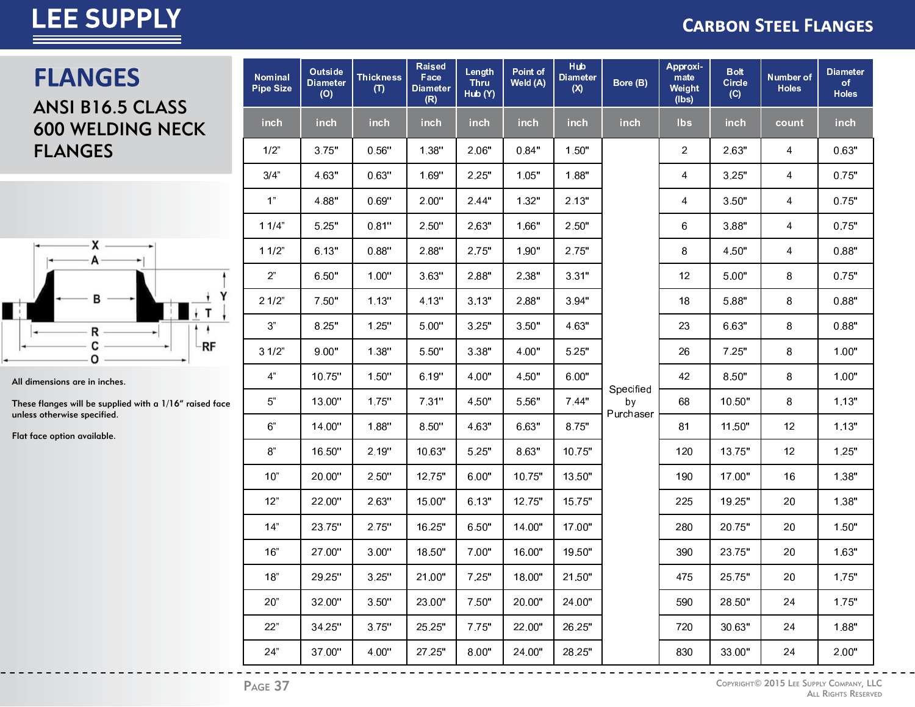### **CARBON STEEL FLANGES**

### **FLANGES**

ANSI B16.5 CLASS **600 WELDING NECK FLANGES** 



All dimensions are in inches.

These flanges will be supplied with a 1/16" raised face unless otherwise specified.

Flat face option available.

| <b>Nominal</b><br><b>Pipe Size</b> | Outside<br><b>Diameter</b><br>(O) | <b>Thickness</b><br>(T) | <b>Raised</b><br>Face<br><b>Diameter</b><br>(R) | Length<br><b>Thru</b><br>Hub (Y) | Point of<br>Weld (A) | <b>Hub</b><br><b>Diameter</b><br>(X) | Bore (B)        | Approxi-<br>mate<br>Weight<br>(lbs) | <b>Bolt</b><br><b>Circle</b><br>(C) | Number of<br><b>Holes</b> | <b>Diameter</b><br>of<br><b>Holes</b> |
|------------------------------------|-----------------------------------|-------------------------|-------------------------------------------------|----------------------------------|----------------------|--------------------------------------|-----------------|-------------------------------------|-------------------------------------|---------------------------|---------------------------------------|
| inch                               | inch                              | inch                    | inch                                            | inch                             | <b>inch</b>          | inch                                 | inch            | <b>lbs</b>                          | inch                                | count                     | inch                                  |
| 1/2"                               | 3.75"                             | 0.56"                   | 1.38"                                           | 2.06"                            | 0.84"                | 1.50"                                |                 | 2                                   | 2.63"                               | 4                         | 0.63"                                 |
| 3/4"                               | 4.63"                             | 0.63"                   | 1.69"                                           | 2.25"                            | 1.05"                | 1.88"                                |                 | 4                                   | 3.25"                               | 4                         | 0.75"                                 |
| 1 <sup>n</sup>                     | 4.88"                             | 0.69"                   | 2.00"                                           | 2.44"                            | 1.32"                | 2.13"                                |                 | 4                                   | 3.50"                               | 4                         | 0.75"                                 |
| 11/4"                              | 5.25"                             | 0.81"                   | 2.50"                                           | 2.63"                            | 1.66"                | 2.50"                                |                 | 6                                   | 3.88"                               | 4                         | 0.75"                                 |
| 11/2"                              | 6.13"                             | 0.88"                   | 2.88"                                           | 2.75"                            | 1.90"                | 2.75"                                |                 | 8                                   | 4.50"                               | 4                         | 0.88"                                 |
| 2 <sup>n</sup>                     | 6.50"                             | 1.00"                   | 3.63"                                           | 2.88"                            | 2.38"                | 3.31"                                |                 | 12                                  | 5.00"                               | 8                         | 0.75"                                 |
| 21/2"                              | 7.50"                             | 1.13"                   | 4.13"                                           | 3.13"                            | 2.88"                | 3.94"                                |                 | 18                                  | 5.88"                               | 8                         | 0.88"                                 |
| 3 <sup>n</sup>                     | 8.25"                             | 1.25"                   | 5.00"                                           | 3.25"                            | 3.50"                | 4.63"                                |                 | 23                                  | 6.63"                               | 8                         | 0.88"                                 |
| 31/2"                              | 9.00"                             | 1.38"                   | 5.50"                                           | 3.38"                            | 4.00"                | 5.25"                                |                 | 26                                  | 7.25"                               | 8                         | 1.00"                                 |
| 4 <sup>n</sup>                     | 10.75"                            | 1.50"                   | 6.19"                                           | 4.00"                            | 4.50"                | 6.00"                                |                 | 42                                  | 8.50"                               | 8                         | 1.00"                                 |
| $5"$                               | 13.00"                            | 1.75"                   | 7.31"                                           | 4.50"                            | 5.56"                | 7.44"                                | Specified<br>by | 68                                  | 10.50"                              | 8                         | 1.13"                                 |
| 6 <sup>n</sup>                     | 14.00"                            | 1.88"                   | 8.50"                                           | 4.63"                            | 6.63"                | 8.75"                                | Purchaser       | 81                                  | 11.50"                              | 12                        | 1.13"                                 |
| 8"                                 | 16.50"                            | 2.19"                   | 10.63"                                          | 5.25"                            | 8.63"                | 10.75"                               |                 | 120                                 | 13.75"                              | 12                        | 1.25"                                 |
| 10"                                | 20.00"                            | 2.50"                   | 12.75"                                          | 6.00"                            | 10.75"               | 13.50"                               |                 | 190                                 | 17.00"                              | 16                        | 1.38"                                 |
| 12"                                | 22.00"                            | 2.63"                   | 15.00"                                          | 6.13"                            | 12.75"               | 15.75"                               |                 | 225                                 | 19.25"                              | 20                        | 1.38"                                 |
| 14"                                | 23.75"                            | 2.75"                   | 16.25"                                          | 6.50"                            | 14.00"               | 17.00"                               |                 | 280                                 | 20.75"                              | 20                        | 1.50"                                 |
| 16"                                | 27.00"                            | 3.00"                   | 18.50"                                          | 7.00"                            | 16.00"               | 19.50"                               |                 | 390                                 | 23.75"                              | 20                        | 1.63"                                 |
| 18"                                | 29.25"                            | 3.25"                   | 21.00"                                          | 7.25"                            | 18.00"               | 21.50"                               |                 | 475                                 | 25.75"                              | 20                        | 1.75"                                 |
| 20"                                | 32.00"                            | 3.50"                   | 23.00"                                          | 7.50"                            | 20.00"               | 24.00"                               |                 | 590                                 | 28.50"                              | 24                        | 1.75"                                 |
| 22"                                | 34.25"                            | 3.75"                   | 25.25"                                          | 7.75"                            | 22.00"               | 26.25"                               |                 | 720                                 | 30.63"                              | 24                        | 1.88"                                 |
| 24"                                | 37.00"                            | 4.00"                   | 27.25"                                          | 8.00"                            | 24.00"               | 28.25"                               |                 | 830                                 | 33.00"                              | 24                        | 2.00"                                 |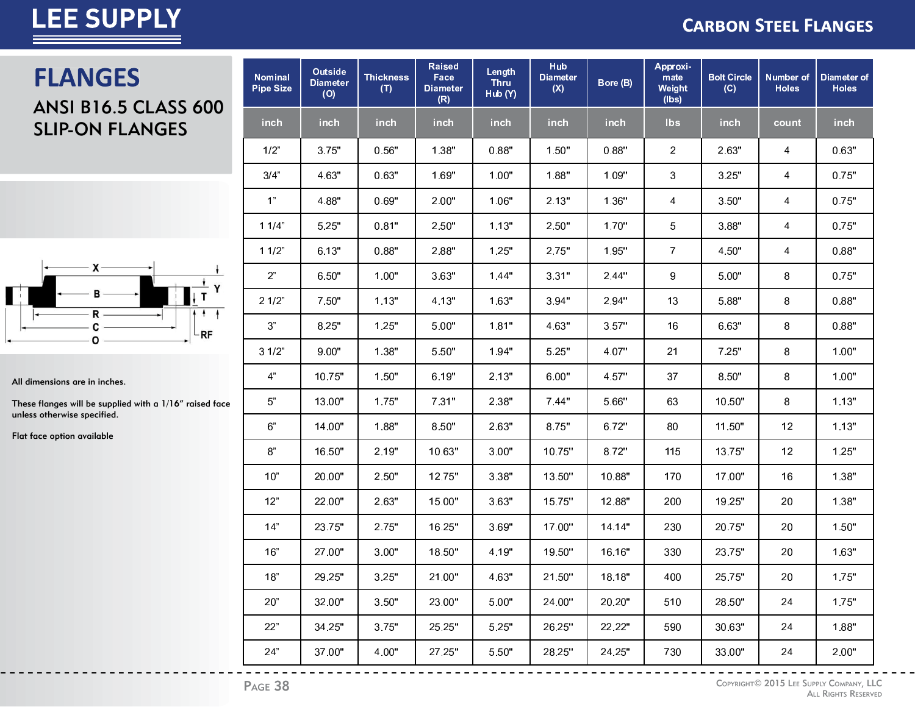#### **CARBON STEEL FLANGES**

### **FLANGES**

### ANSI B16.5 CLASS 600 SLIP-ON FLANGES



All dimensions are in inches.

These flanges will be supplied with a 1/16" raised face unless otherwise specified.

Flat face option available

| <b>Nominal</b><br><b>Pipe Size</b> | Outside<br><b>Diameter</b><br>(O) | <b>Thickness</b><br>(T) | <b>Raised</b><br>Face<br><b>Diameter</b><br>(R) | Length<br><b>Thru</b><br>Hub (Y) | Hub<br><b>Diameter</b><br>(X) | Bore (B) | Approxi-<br>mate<br>Weight<br>(lbs) | <b>Bolt Circle</b><br>(C) | Number of<br><b>Holes</b> | Diameter of<br><b>Holes</b> |
|------------------------------------|-----------------------------------|-------------------------|-------------------------------------------------|----------------------------------|-------------------------------|----------|-------------------------------------|---------------------------|---------------------------|-----------------------------|
| inch                               | inch                              | inch                    | inch                                            | inch                             | inch                          | inch     | <b>lbs</b>                          | inch                      | count                     | inch                        |
| 1/2"                               | 3.75"                             | 0.56"                   | 1.38"                                           | 0.88"                            | 1.50"                         | 0.88"    | 2                                   | 2.63"                     | 4                         | 0.63"                       |
| 3/4"                               | 4.63"                             | 0.63"                   | 1.69"                                           | 1.00"                            | 1.88"                         | 1.09"    | 3                                   | 3.25"                     | 4                         | 0.75"                       |
| 1 <sup>n</sup>                     | 4.88"                             | 0.69"                   | 2.00"                                           | 1.06"                            | 2.13"                         | 1.36"    | 4                                   | 3.50"                     | 4                         | 0.75"                       |
| 11/4"                              | 5.25"                             | 0.81"                   | 2.50"                                           | 1.13"                            | 2.50"                         | 1.70"    | 5                                   | 3.88"                     | 4                         | 0.75"                       |
| 11/2"                              | 6.13"                             | 0.88"                   | 2.88"                                           | 1.25"                            | 2.75"                         | 1.95"    | $\overline{7}$                      | 4.50"                     | 4                         | 0.88"                       |
| 2 <sup>n</sup>                     | 6.50"                             | 1.00"                   | 3.63"                                           | 1.44"                            | 3.31"                         | 2.44"    | 9                                   | 5.00"                     | 8                         | 0.75"                       |
| 21/2"                              | 7.50"                             | 1.13"                   | 4.13"                                           | 1.63"                            | 3.94"                         | 2.94"    | 13                                  | 5.88"                     | 8                         | 0.88"                       |
| 3"                                 | 8.25"                             | 1.25"                   | 5.00"                                           | 1.81"                            | 4.63"                         | 3.57"    | 16                                  | 6.63"                     | 8                         | 0.88"                       |
| 31/2"                              | 9.00"                             | 1.38"                   | 5.50"                                           | 1.94"                            | 5.25"                         | 4.07"    | 21                                  | 7.25"                     | 8                         | 1.00"                       |
| 4 <sup>n</sup>                     | 10.75"                            | 1.50"                   | 6.19"                                           | 2.13"                            | 6.00"                         | 4.57"    | 37                                  | 8.50"                     | 8                         | 1.00"                       |
| 5"                                 | 13.00"                            | 1.75"                   | 7.31"                                           | 2.38"                            | 7.44"                         | 5.66"    | 63                                  | 10.50"                    | 8                         | 1.13"                       |
| 6"                                 | 14.00"                            | 1.88"                   | 8.50"                                           | 2.63"                            | 8.75"                         | 6.72"    | 80                                  | 11.50"                    | 12                        | 1.13"                       |
| 8"                                 | 16.50"                            | 2.19"                   | 10.63"                                          | 3.00"                            | 10.75"                        | 8.72"    | 115                                 | 13.75"                    | 12                        | 1.25"                       |
| 10"                                | 20.00"                            | 2.50"                   | 12.75"                                          | 3.38"                            | 13.50"                        | 10.88"   | 170                                 | 17.00"                    | 16                        | 1.38"                       |
| 12"                                | 22.00"                            | 2.63"                   | 15.00"                                          | 3.63"                            | 15.75"                        | 12.88"   | 200                                 | 19.25"                    | 20                        | 1.38"                       |
| 14"                                | 23.75"                            | 2.75"                   | 16.25"                                          | 3.69"                            | 17.00"                        | 14.14"   | 230                                 | 20.75"                    | 20                        | 1.50"                       |
| 16"                                | 27.00"                            | 3.00"                   | 18.50"                                          | 4.19"                            | 19.50"                        | 16.16"   | 330                                 | 23.75"                    | 20                        | 1.63"                       |
| $18"$                              | 29.25"                            | 3.25"                   | 21.00"                                          | 4.63"                            | 21.50"                        | 18.18"   | 400                                 | 25.75"                    | 20                        | 1.75"                       |
| 20"                                | 32.00"                            | 3.50"                   | 23.00"                                          | 5.00"                            | 24.00"                        | 20.20"   | 510                                 | 28.50"                    | 24                        | 1.75"                       |
| 22"                                | 34.25"                            | 3.75"                   | 25.25"                                          | 5.25"                            | 26.25"                        | 22.22"   | 590                                 | 30.63"                    | 24                        | 1.88"                       |
| 24"                                | 37.00"                            | 4.00"                   | 27.25"                                          | 5.50"                            | 28.25"                        | 24.25"   | 730                                 | 33.00"                    | 24                        | 2.00"                       |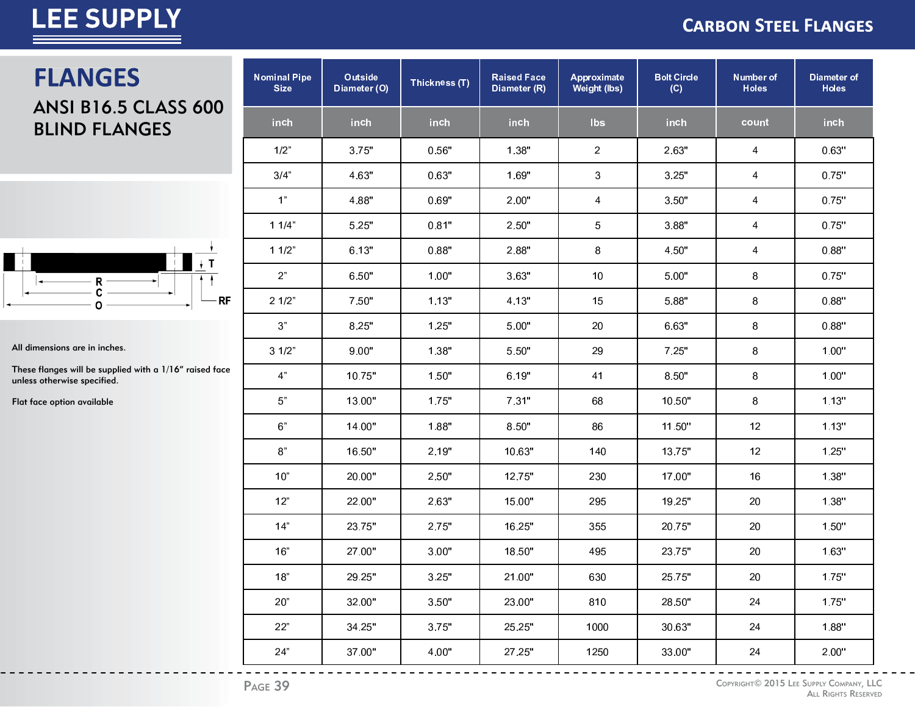#### **CARBON STEEL FLANGES**

### **FLANGES**

### ANSI B16.5 CLASS 600 BLIND FLANGES



All dimensions are in inches.

These flanges will be supplied with a 1/16" raised face unless otherwise specified.

Flat face option available

| <b>Nominal Pipe</b><br><b>Size</b> | Outside<br>Diameter (O) | Thickness (T) | <b>Raised Face</b><br>Diameter (R) | Approximate<br><b>Weight (lbs)</b> | <b>Bolt Circle</b><br>(C) | Number of<br><b>Holes</b> | Diameter of<br><b>Holes</b> |
|------------------------------------|-------------------------|---------------|------------------------------------|------------------------------------|---------------------------|---------------------------|-----------------------------|
| inch                               | inch                    | inch          | inch                               | <b>lbs</b>                         | inch                      | count                     | inch                        |
| 1/2"                               | 3.75"                   | 0.56"         | 1.38"                              | $\overline{a}$                     | 2.63"                     | 4                         | 0.63"                       |
| 3/4"                               | 4.63"                   | 0.63"         | 1.69"                              | 3                                  | 3.25"                     | 4                         | 0.75"                       |
| 1 <sup>n</sup>                     | 4.88"                   | 0.69"         | 2.00"                              | 4                                  | 3.50"                     | 4                         | 0.75"                       |
| 11/4"                              | 5.25"                   | 0.81"         | 2.50"                              | 5                                  | 3.88"                     | 4                         | 0.75"                       |
| 11/2"                              | 6.13"                   | 0.88"         | 2.88"                              | $\bf 8$                            | 4.50"                     | 4                         | 0.88"                       |
| 2 <sup>n</sup>                     | 6.50"                   | 1.00"         | 3.63"                              | 10                                 | 5.00"                     | 8                         | 0.75"                       |
| 21/2"                              | 7.50"                   | 1.13"         | 4.13"                              | 15                                 | 5.88"                     | 8                         | 0.88"                       |
| $3"$                               | 8.25"                   | 1.25"         | 5.00"                              | 20                                 | 6.63"                     | 8                         | 0.88"                       |
| 31/2"                              | 9.00"                   | 1.38"         | 5.50"                              | 29                                 | 7.25"                     | 8                         | 1.00"                       |
| 4 <sup>n</sup>                     | 10.75"                  | 1.50"         | 6.19"                              | 41                                 | 8.50"                     | 8                         | 1.00"                       |
| $5"$                               | 13.00"                  | 1.75"         | 7.31"                              | 68                                 | 10.50"                    | $\bf 8$                   | 1.13"                       |
| 6 <sup>n</sup>                     | 14.00"                  | 1.88"         | 8.50"                              | 86                                 | 11.50"                    | 12                        | 1.13"                       |
| $\mathbf{8}^n$                     | 16.50"                  | 2.19"         | 10.63"                             | 140                                | 13.75"                    | 12                        | 1.25"                       |
| 10"                                | 20.00"                  | 2.50"         | 12.75"                             | 230                                | 17.00"                    | 16                        | 1.38"                       |
| 12"                                | 22.00"                  | 2.63"         | 15.00"                             | 295                                | 19.25"                    | 20                        | 1.38"                       |
| 14"                                | 23.75"                  | 2.75"         | 16.25"                             | 355                                | 20.75"                    | 20                        | 1.50"                       |
| 16"                                | 27.00"                  | 3.00"         | 18.50"                             | 495                                | 23.75"                    | 20                        | 1.63"                       |
| 18"                                | 29.25"                  | 3.25"         | 21.00"                             | 630                                | 25.75"                    | 20                        | 1.75"                       |
| 20"                                | 32.00"                  | 3.50"         | 23.00"                             | 810                                | 28.50"                    | 24                        | 1.75"                       |
| 22"                                | 34.25"                  | 3.75"         | 25.25"                             | 1000                               | 30.63"                    | 24                        | 1.88"                       |
| 24"                                | 37.00"                  | 4.00"         | 27.25"                             | 1250                               | 33.00"                    | 24                        | 2.00"                       |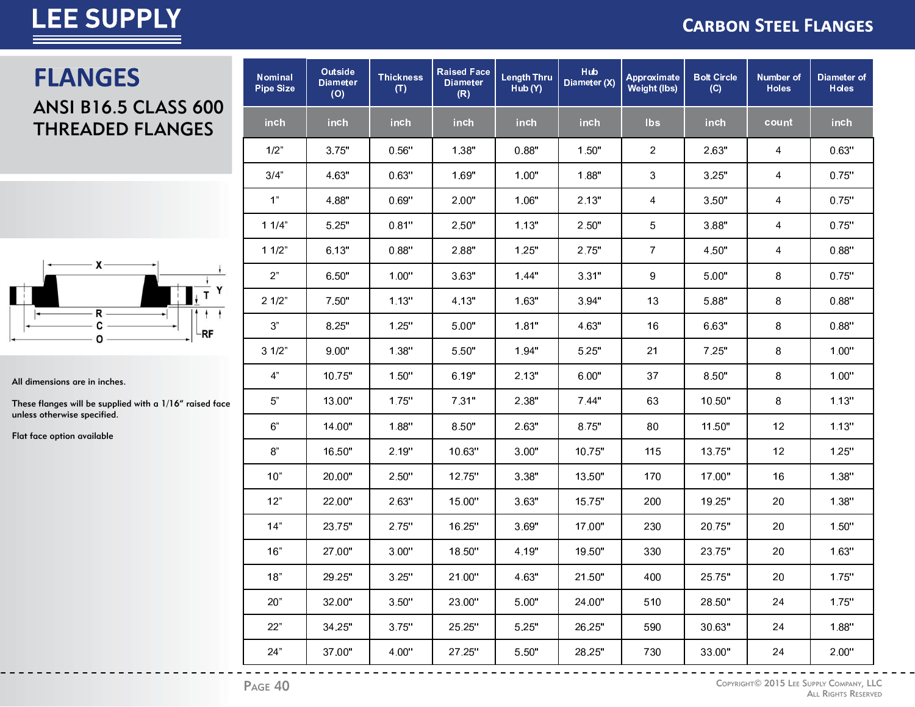#### **CARBON STEEL FLANGES**

# **FLANGES**

#### **ANSI B16.5 CLASS 600 THREADED FLANGES**



All dimensions are in inches.

These flanges will be supplied with a 1/16" raised face unless otherwise specified.

Flat face option available

| <b>Nominal</b><br><b>Pipe Size</b> | <b>Outside</b><br><b>Diameter</b><br>(O) | <b>Thickness</b><br>(T) | <b>Raised Face</b><br><b>Diameter</b><br>(R) | <b>Length Thru</b><br>Hub (Y) | <b>Hub</b><br>Diameter (X) | Approximate<br>Weight (lbs) | <b>Bolt Circle</b><br>(C) | Number of<br><b>Holes</b> | Diameter of<br><b>Holes</b> |
|------------------------------------|------------------------------------------|-------------------------|----------------------------------------------|-------------------------------|----------------------------|-----------------------------|---------------------------|---------------------------|-----------------------------|
| inch                               | inch                                     | inch                    | inch                                         | inch                          | inch                       | <b>Ibs</b>                  | inch                      | count                     | inch                        |
| 1/2"                               | 3.75"                                    | 0.56"                   | 1.38"                                        | 0.88"                         | 1.50"                      | 2                           | 2.63"                     | 4                         | 0.63"                       |
| 3/4"                               | 4.63"                                    | 0.63"                   | 1.69"                                        | 1.00"                         | 1.88"                      | 3                           | 3.25"                     | 4                         | 0.75"                       |
| 1 <sup>n</sup>                     | 4.88"                                    | 0.69"                   | 2.00"                                        | 1.06"                         | 2.13"                      | 4                           | 3.50"                     | 4                         | 0.75"                       |
| 11/4"                              | 5.25"                                    | 0.81"                   | 2.50"                                        | 1.13"                         | 2.50"                      | 5                           | 3.88"                     | 4                         | 0.75"                       |
| 11/2"                              | 6.13"                                    | 0.88"                   | 2.88"                                        | 1.25"                         | 2.75"                      | $\overline{7}$              | 4.50"                     | 4                         | 0.88"                       |
| 2 <sup>n</sup>                     | 6.50"                                    | 1.00"                   | 3.63"                                        | 1.44"                         | 3.31"                      | 9                           | 5.00"                     | 8                         | 0.75"                       |
| 21/2"                              | 7.50"                                    | 1.13"                   | 4.13"                                        | 1.63"                         | 3.94"                      | 13                          | 5.88"                     | 8                         | 0.88"                       |
| 3"                                 | 8.25"                                    | 1.25"                   | 5.00"                                        | 1.81"                         | 4.63"                      | 16                          | 6.63"                     | 8                         | 0.88"                       |
| 31/2"                              | 9.00"                                    | 1.38"                   | 5.50"                                        | 1.94"                         | 5.25"                      | 21                          | 7.25"                     | 8                         | 1.00"                       |
| 4 <sup>n</sup>                     | 10.75"                                   | 1.50"                   | 6.19"                                        | 2.13"                         | 6.00"                      | 37                          | 8.50"                     | 8                         | 1.00"                       |
| 5"                                 | 13.00"                                   | 1.75"                   | 7.31"                                        | 2.38"                         | 7.44"                      | 63                          | 10.50"                    | 8                         | 1.13"                       |
| 6"                                 | 14.00"                                   | 1.88"                   | 8.50"                                        | 2.63"                         | 8.75"                      | 80                          | 11.50"                    | 12                        | 1.13"                       |
| 8"                                 | 16.50"                                   | 2.19"                   | 10.63"                                       | 3.00"                         | 10.75"                     | 115                         | 13.75"                    | 12                        | 1.25"                       |
| 10"                                | 20.00"                                   | 2.50"                   | 12.75"                                       | 3.38"                         | 13.50"                     | 170                         | 17.00"                    | 16                        | 1.38"                       |
| 12"                                | 22.00"                                   | 2.63"                   | 15.00"                                       | 3.63"                         | 15.75"                     | 200                         | 19.25"                    | 20                        | 1.38"                       |
| 14"                                | 23.75"                                   | 2.75"                   | 16.25"                                       | 3.69"                         | 17.00"                     | 230                         | 20.75"                    | 20                        | 1.50"                       |
| 16"                                | 27.00"                                   | 3.00"                   | 18.50"                                       | 4.19"                         | 19.50"                     | 330                         | 23.75"                    | 20                        | 1.63"                       |
| $18"$                              | 29.25"                                   | 3.25"                   | 21.00"                                       | 4.63"                         | 21.50"                     | 400                         | 25.75"                    | 20                        | 1.75"                       |
| 20"                                | 32.00"                                   | 3.50"                   | 23.00"                                       | 5.00"                         | 24.00"                     | 510                         | 28.50"                    | 24                        | 1.75"                       |
| 22"                                | 34.25"                                   | 3.75"                   | 25.25"                                       | 5.25"                         | 26.25"                     | 590                         | 30.63"                    | 24                        | 1.88"                       |
| 24"                                | 37.00"                                   | 4.00"                   | 27.25"                                       | 5.50"                         | 28.25"                     | 730                         | 33.00"                    | 24                        | 2.00"                       |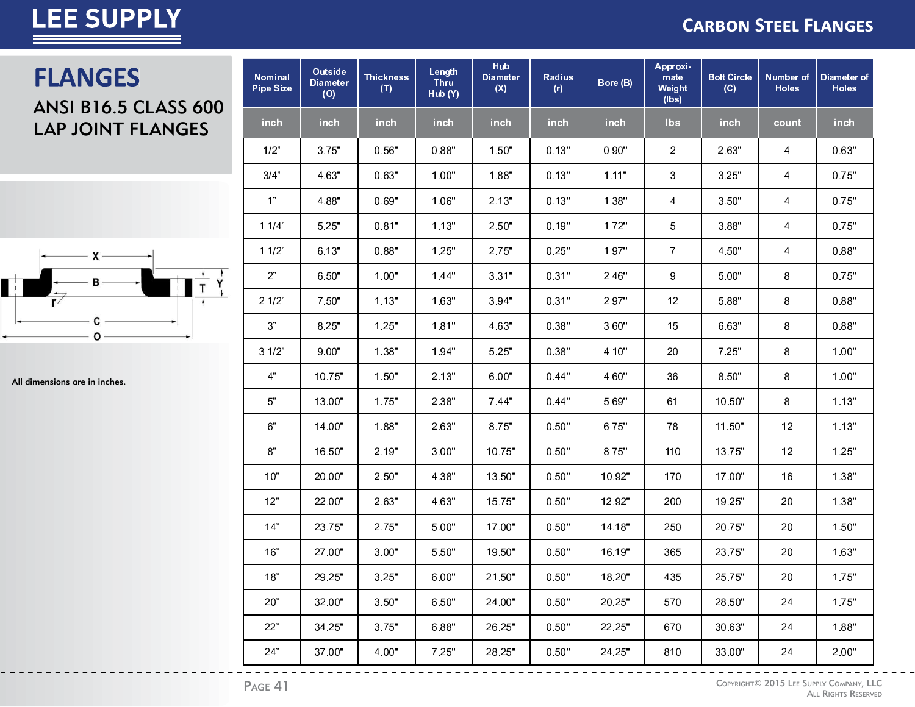#### **CARBON STEEL FLANGES**

### **FLANGES** ANSI B16.5 CLASS 600 LAP JOINT FLANGES



All dimensions are in inches.

| <b>Nominal</b><br><b>Pipe Size</b> | Outside<br><b>Diameter</b><br>(O) | <b>Thickness</b><br>(T) | Length<br><b>Thru</b><br>Hub (Y) | <b>Hub</b><br><b>Diameter</b><br>(X) | <b>Radius</b><br>(r) | Bore (B) | Approxi-<br>mate<br>Weight<br>(lbs) | <b>Bolt Circle</b><br>(C) | <b>Number of</b><br><b>Holes</b> | Diameter of<br><b>Holes</b> |
|------------------------------------|-----------------------------------|-------------------------|----------------------------------|--------------------------------------|----------------------|----------|-------------------------------------|---------------------------|----------------------------------|-----------------------------|
| inch                               | <b>inch</b>                       | inch                    | inch                             | inch                                 | inch                 | inch     | lbs                                 | inch                      | count                            | inch                        |
| 1/2"                               | 3.75"                             | 0.56"                   | 0.88"                            | 1.50"                                | 0.13"                | 0.90"    | 2                                   | 2.63"                     | 4                                | 0.63"                       |
| 3/4"                               | 4.63"                             | 0.63"                   | 1.00"                            | 1.88"                                | 0.13"                | 1.11"    | 3                                   | 3.25"                     | 4                                | 0.75"                       |
| 1 <sup>n</sup>                     | 4.88"                             | 0.69"                   | 1.06"                            | 2.13"                                | 0.13"                | 1.38"    | 4                                   | 3.50"                     | 4                                | 0.75"                       |
| 11/4"                              | 5.25"                             | 0.81"                   | 1.13"                            | 2.50"                                | 0.19"                | 1.72"    | 5                                   | 3.88"                     | 4                                | 0.75"                       |
| 11/2"                              | 6.13"                             | 0.88"                   | 1.25"                            | 2.75"                                | 0.25"                | 1.97"    | $\overline{7}$                      | 4.50"                     | 4                                | 0.88"                       |
| 2"                                 | 6.50"                             | 1.00"                   | 1.44"                            | 3.31"                                | 0.31"                | 2.46"    | 9                                   | 5.00"                     | 8                                | 0.75"                       |
| 21/2"                              | 7.50"                             | 1.13"                   | 1.63"                            | 3.94"                                | 0.31"                | 2.97"    | 12                                  | 5.88"                     | 8                                | 0.88"                       |
| $3"$                               | 8.25"                             | 1.25"                   | 1.81"                            | 4.63"                                | 0.38"                | 3.60"    | 15                                  | 6.63"                     | 8                                | 0.88"                       |
| 31/2"                              | 9.00"                             | 1.38"                   | 1.94"                            | 5.25"                                | 0.38"                | 4.10"    | 20                                  | 7.25"                     | 8                                | 1.00"                       |
| 4 <sup>n</sup>                     | 10.75"                            | 1.50"                   | 2.13"                            | 6.00"                                | 0.44"                | 4.60"    | 36                                  | 8.50"                     | 8                                | 1.00"                       |
| $5"$                               | 13.00"                            | 1.75"                   | 2.38"                            | 7.44"                                | 0.44"                | 5.69"    | 61                                  | 10.50"                    | 8                                | 1.13"                       |
| $6"$                               | 14.00"                            | 1.88"                   | 2.63"                            | 8.75"                                | 0.50"                | 6.75"    | 78                                  | 11.50"                    | 12                               | 1.13"                       |
| $\mbox{8}^{\circ}$                 | 16.50"                            | 2.19"                   | 3.00"                            | 10.75"                               | 0.50"                | 8.75"    | 110                                 | 13.75"                    | 12                               | 1.25"                       |
| 10"                                | 20.00"                            | 2.50"                   | 4.38"                            | 13.50"                               | 0.50"                | 10.92"   | 170                                 | 17.00"                    | 16                               | 1.38"                       |
| 12"                                | 22.00"                            | 2.63"                   | 4.63"                            | 15.75"                               | 0.50"                | 12.92"   | 200                                 | 19.25"                    | 20                               | 1.38"                       |
| 14"                                | 23.75"                            | 2.75"                   | 5.00"                            | 17.00"                               | 0.50"                | 14.18"   | 250                                 | 20.75"                    | 20                               | 1.50"                       |
| 16"                                | 27.00"                            | 3.00"                   | 5.50"                            | 19.50"                               | 0.50"                | 16.19"   | 365                                 | 23.75"                    | 20                               | 1.63"                       |
| 18"                                | 29.25"                            | 3.25"                   | 6.00"                            | 21.50"                               | 0.50"                | 18.20"   | 435                                 | 25.75"                    | 20                               | 1.75"                       |
| 20"                                | 32.00"                            | 3.50"                   | 6.50"                            | 24.00"                               | 0.50"                | 20.25"   | 570                                 | 28.50"                    | 24                               | 1.75"                       |
| 22"                                | 34.25"                            | 3.75"                   | 6.88"                            | 26.25"                               | 0.50"                | 22.25"   | 670                                 | 30.63"                    | 24                               | 1.88"                       |
| 24"                                | 37.00"                            | 4.00"                   | 7.25"                            | 28.25"                               | 0.50"                | 24.25"   | 810                                 | 33.00"                    | 24                               | 2.00"                       |

<sup>C</sup>OPYRIGHT© 2015 LEE SUPPLY COMPANY, LLC ALL RIGHTS RESERVED